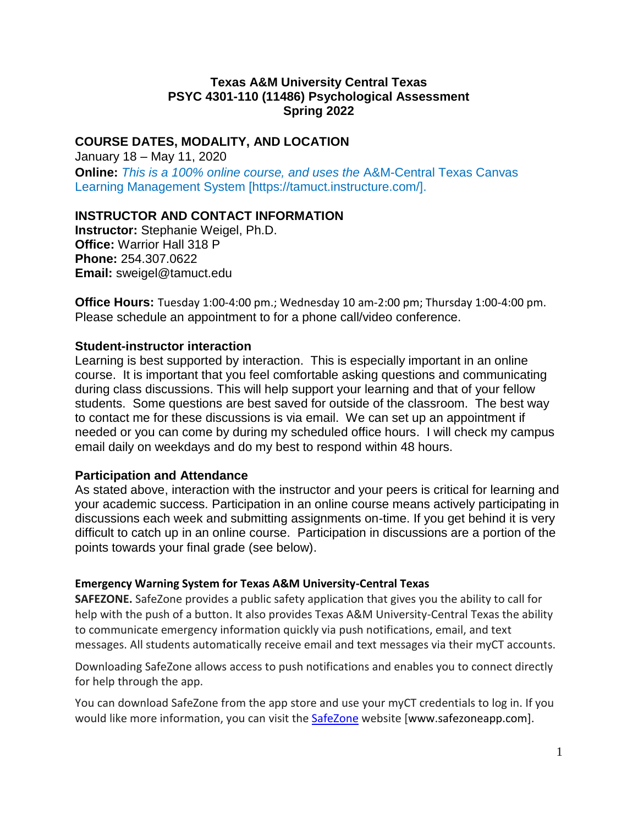### **Texas A&M University Central Texas PSYC 4301-110 (11486) Psychological Assessment Spring 2022**

## **COURSE DATES, MODALITY, AND LOCATION**

January 18 – May 11, 2020 **Online:** *This is a 100% online course, and uses the* A&M-Central Texas Canvas Learning Management System [https://tamuct.instructure.com/].

### **INSTRUCTOR AND CONTACT INFORMATION**

**Instructor:** Stephanie Weigel, Ph.D. **Office:** Warrior Hall 318 P **Phone:** 254.307.0622 **Email:** sweigel@tamuct.edu

**Office Hours:** Tuesday 1:00-4:00 pm.; Wednesday 10 am-2:00 pm; Thursday 1:00-4:00 pm. Please schedule an appointment to for a phone call/video conference.

#### **Student-instructor interaction**

Learning is best supported by interaction. This is especially important in an online course. It is important that you feel comfortable asking questions and communicating during class discussions. This will help support your learning and that of your fellow students. Some questions are best saved for outside of the classroom. The best way to contact me for these discussions is via email. We can set up an appointment if needed or you can come by during my scheduled office hours. I will check my campus email daily on weekdays and do my best to respond within 48 hours.

#### **Participation and Attendance**

As stated above, interaction with the instructor and your peers is critical for learning and your academic success. Participation in an online course means actively participating in discussions each week and submitting assignments on-time. If you get behind it is very difficult to catch up in an online course. Participation in discussions are a portion of the points towards your final grade (see below).

#### **Emergency Warning System for Texas A&M University-Central Texas**

**SAFEZONE.** SafeZone provides a public safety application that gives you the ability to call for help with the push of a button. It also provides Texas A&M University-Central Texas the ability to communicate emergency information quickly via push notifications, email, and text messages. All students automatically receive email and text messages via their myCT accounts.

Downloading SafeZone allows access to push notifications and enables you to connect directly for help through the app.

You can download SafeZone from the app store and use your myCT credentials to log in. If you would like more information, you can visit the [SafeZone](http://www.safezoneapp.com/) website [www.safezoneapp.com].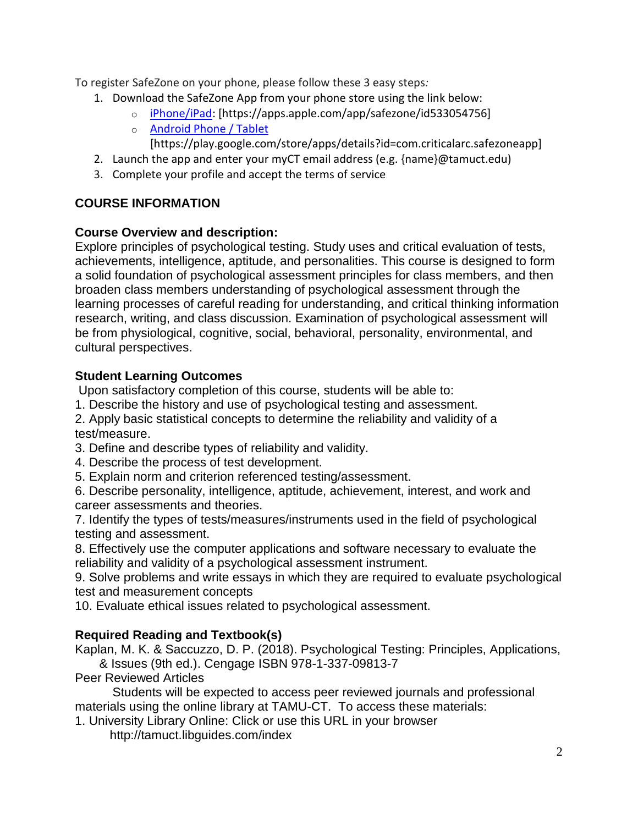To register SafeZone on your phone, please follow these 3 easy steps*:*

- 1. Download the SafeZone App from your phone store using the link below:
	- o [iPhone/iPad:](https://apps.apple.com/app/safezone/id533054756) [https://apps.apple.com/app/safezone/id533054756]
	- o [Android Phone / Tablet](https://play.google.com/store/apps/details?id=com.criticalarc.safezoneapp) [https://play.google.com/store/apps/details?id=com.criticalarc.safezoneapp]
- 2. Launch the app and enter your myCT email address (e.g. {name}@tamuct.edu)
- 3. Complete your profile and accept the terms of service

# **COURSE INFORMATION**

## **Course Overview and description:**

Explore principles of psychological testing. Study uses and critical evaluation of tests, achievements, intelligence, aptitude, and personalities. This course is designed to form a solid foundation of psychological assessment principles for class members, and then broaden class members understanding of psychological assessment through the learning processes of careful reading for understanding, and critical thinking information research, writing, and class discussion. Examination of psychological assessment will be from physiological, cognitive, social, behavioral, personality, environmental, and cultural perspectives.

## **Student Learning Outcomes**

Upon satisfactory completion of this course, students will be able to:

1. Describe the history and use of psychological testing and assessment.

2. Apply basic statistical concepts to determine the reliability and validity of a test/measure.

- 3. Define and describe types of reliability and validity.
- 4. Describe the process of test development.
- 5. Explain norm and criterion referenced testing/assessment.

6. Describe personality, intelligence, aptitude, achievement, interest, and work and career assessments and theories.

7. Identify the types of tests/measures/instruments used in the field of psychological testing and assessment.

8. Effectively use the computer applications and software necessary to evaluate the reliability and validity of a psychological assessment instrument.

9. Solve problems and write essays in which they are required to evaluate psychological test and measurement concepts

10. Evaluate ethical issues related to psychological assessment.

## **Required Reading and Textbook(s)**

Kaplan, M. K. & Saccuzzo, D. P. (2018). Psychological Testing: Principles, Applications, & Issues (9th ed.). Cengage ISBN 978-1-337-09813-7

Peer Reviewed Articles

Students will be expected to access peer reviewed journals and professional materials using the online library at TAMU-CT. To access these materials:

1. University Library Online: Click or use this URL in your browser

http://tamuct.libguides.com/index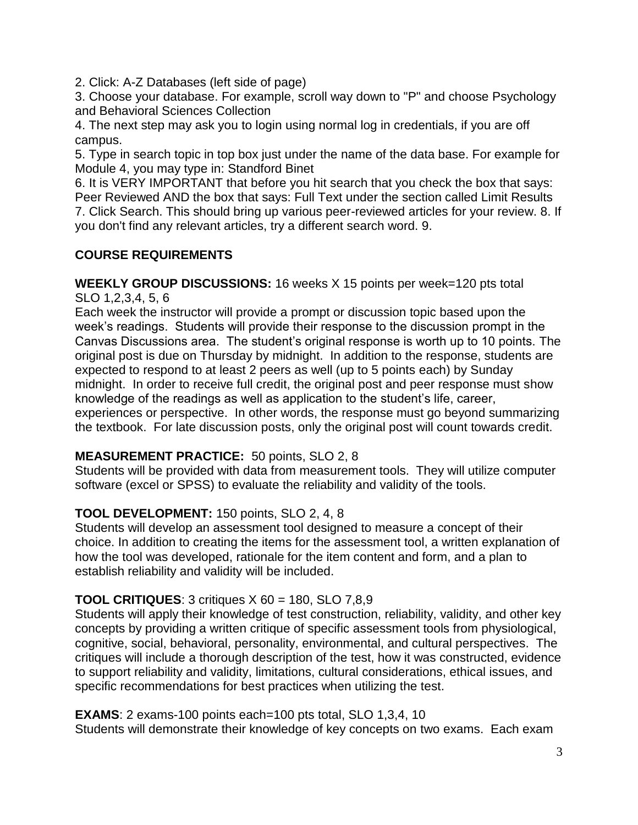2. Click: A-Z Databases (left side of page)

3. Choose your database. For example, scroll way down to "P" and choose Psychology and Behavioral Sciences Collection

4. The next step may ask you to login using normal log in credentials, if you are off campus.

5. Type in search topic in top box just under the name of the data base. For example for Module 4, you may type in: Standford Binet

6. It is VERY IMPORTANT that before you hit search that you check the box that says: Peer Reviewed AND the box that says: Full Text under the section called Limit Results 7. Click Search. This should bring up various peer-reviewed articles for your review. 8. If you don't find any relevant articles, try a different search word. 9.

# **COURSE REQUIREMENTS**

**WEEKLY GROUP DISCUSSIONS:** 16 weeks X 15 points per week=120 pts total SLO 1,2,3,4, 5, 6

Each week the instructor will provide a prompt or discussion topic based upon the week's readings. Students will provide their response to the discussion prompt in the Canvas Discussions area. The student's original response is worth up to 10 points. The original post is due on Thursday by midnight. In addition to the response, students are expected to respond to at least 2 peers as well (up to 5 points each) by Sunday midnight. In order to receive full credit, the original post and peer response must show knowledge of the readings as well as application to the student's life, career, experiences or perspective. In other words, the response must go beyond summarizing the textbook. For late discussion posts, only the original post will count towards credit.

## **MEASUREMENT PRACTICE:** 50 points, SLO 2, 8

Students will be provided with data from measurement tools. They will utilize computer software (excel or SPSS) to evaluate the reliability and validity of the tools.

## **TOOL DEVELOPMENT:** 150 points, SLO 2, 4, 8

Students will develop an assessment tool designed to measure a concept of their choice. In addition to creating the items for the assessment tool, a written explanation of how the tool was developed, rationale for the item content and form, and a plan to establish reliability and validity will be included.

## **TOOL CRITIQUES**: 3 critiques X 60 = 180, SLO 7,8,9

Students will apply their knowledge of test construction, reliability, validity, and other key concepts by providing a written critique of specific assessment tools from physiological, cognitive, social, behavioral, personality, environmental, and cultural perspectives. The critiques will include a thorough description of the test, how it was constructed, evidence to support reliability and validity, limitations, cultural considerations, ethical issues, and specific recommendations for best practices when utilizing the test.

**EXAMS:** 2 exams-100 points each=100 pts total, SLO 1,3,4, 10 Students will demonstrate their knowledge of key concepts on two exams. Each exam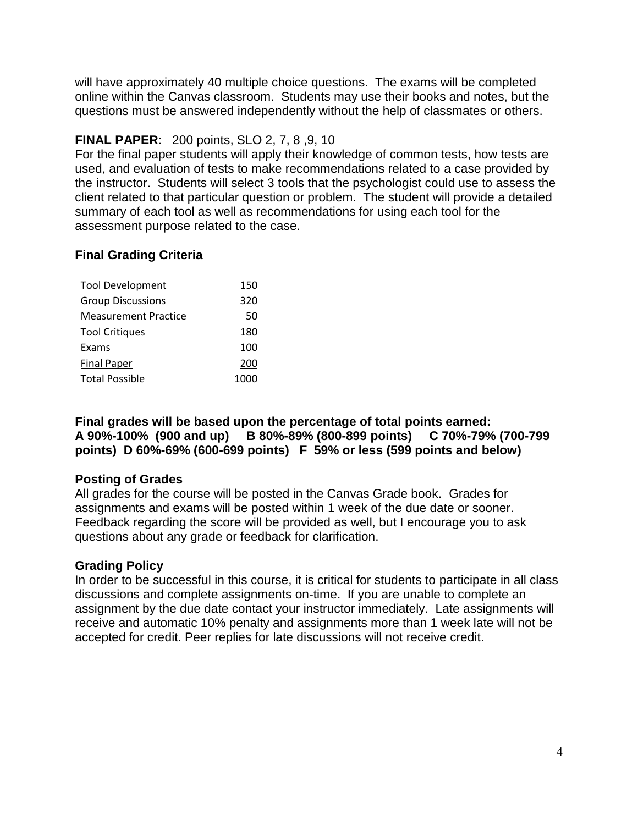will have approximately 40 multiple choice questions. The exams will be completed online within the Canvas classroom. Students may use their books and notes, but the questions must be answered independently without the help of classmates or others.

# **FINAL PAPER**: 200 points, SLO 2, 7, 8 ,9, 10

For the final paper students will apply their knowledge of common tests, how tests are used, and evaluation of tests to make recommendations related to a case provided by the instructor. Students will select 3 tools that the psychologist could use to assess the client related to that particular question or problem. The student will provide a detailed summary of each tool as well as recommendations for using each tool for the assessment purpose related to the case.

# **Final Grading Criteria**

| <b>Tool Development</b>     | 150  |
|-----------------------------|------|
| <b>Group Discussions</b>    | 320  |
| <b>Measurement Practice</b> | 50   |
| <b>Tool Critiques</b>       | 180  |
| Exams                       | 100  |
| Final Paper                 | 200  |
| <b>Total Possible</b>       | 1000 |

**Final grades will be based upon the percentage of total points earned: A 90%-100% (900 and up) B 80%-89% (800-899 points) C 70%-79% (700-799 points) D 60%-69% (600-699 points) F 59% or less (599 points and below)**

## **Posting of Grades**

All grades for the course will be posted in the Canvas Grade book. Grades for assignments and exams will be posted within 1 week of the due date or sooner. Feedback regarding the score will be provided as well, but I encourage you to ask questions about any grade or feedback for clarification.

## **Grading Policy**

In order to be successful in this course, it is critical for students to participate in all class discussions and complete assignments on-time. If you are unable to complete an assignment by the due date contact your instructor immediately. Late assignments will receive and automatic 10% penalty and assignments more than 1 week late will not be accepted for credit. Peer replies for late discussions will not receive credit.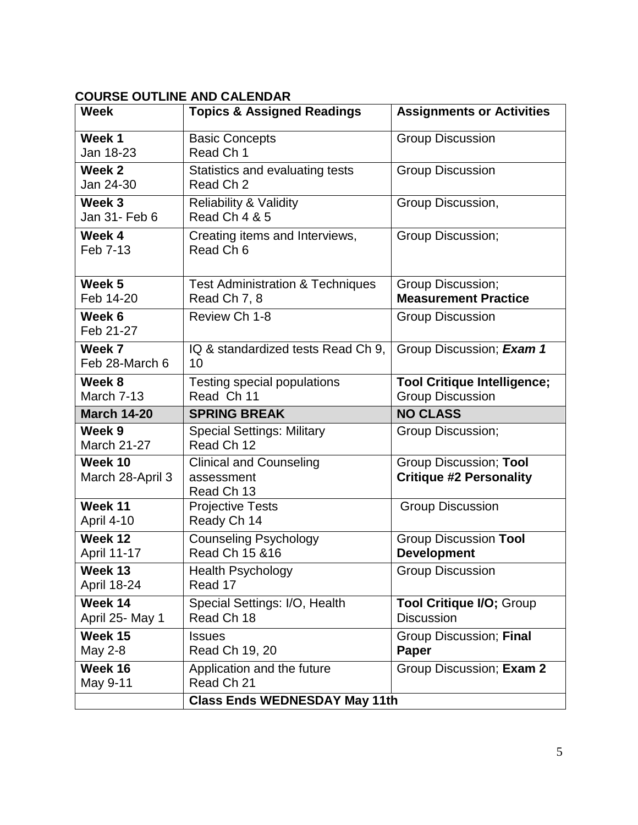# **COURSE OUTLINE AND CALENDAR**

| <b>Week</b>                   | <b>Topics &amp; Assigned Readings</b>                                            | <b>Assignments or Activities</b>                              |
|-------------------------------|----------------------------------------------------------------------------------|---------------------------------------------------------------|
| Week 1<br>Jan 18-23           | <b>Basic Concepts</b><br>Read Ch 1                                               | <b>Group Discussion</b>                                       |
| Week 2<br>Jan 24-30           | Statistics and evaluating tests<br>Read Ch 2                                     | <b>Group Discussion</b>                                       |
| Week 3<br>Jan 31- Feb 6       | <b>Reliability &amp; Validity</b><br><b>Read Ch 4 &amp; 5</b>                    | Group Discussion,                                             |
| Week 4<br>Feb 7-13            | Creating items and Interviews,<br>Read Ch <sub>6</sub>                           | Group Discussion;                                             |
| Week 5<br>Feb 14-20           | <b>Test Administration &amp; Techniques</b><br>Read Ch 7, 8                      | Group Discussion;<br><b>Measurement Practice</b>              |
| Week 6<br>Feb 21-27           | Review Ch 1-8                                                                    | <b>Group Discussion</b>                                       |
| Week 7<br>Feb 28-March 6      | IQ & standardized tests Read Ch 9,<br>10                                         | Group Discussion; Exam 1                                      |
| Week 8<br>March 7-13          | Testing special populations<br>Read Ch 11                                        | <b>Tool Critique Intelligence;</b><br><b>Group Discussion</b> |
|                               |                                                                                  |                                                               |
| <b>March 14-20</b>            | <b>SPRING BREAK</b>                                                              | <b>NO CLASS</b>                                               |
| Week 9<br><b>March 21-27</b>  | <b>Special Settings: Military</b><br>Read Ch 12                                  | Group Discussion;                                             |
| Week 10<br>March 28-April 3   | <b>Clinical and Counseling</b><br>assessment<br>Read Ch 13                       | Group Discussion; Tool<br><b>Critique #2 Personality</b>      |
| Week 11<br><b>April 4-10</b>  | <b>Projective Tests</b><br>Ready Ch 14                                           | <b>Group Discussion</b>                                       |
| Week 12<br>April 11-17        | <b>Counseling Psychology</b><br>Read Ch 15 & 16                                  | <b>Group Discussion Tool</b><br><b>Development</b>            |
| Week 13<br><b>April 18-24</b> | <b>Health Psychology</b><br>Read 17                                              | <b>Group Discussion</b>                                       |
| Week 14<br>April 25- May 1    | Special Settings: I/O, Health<br>Read Ch 18                                      | <b>Tool Critique I/O; Group</b><br><b>Discussion</b>          |
| Week 15<br>May 2-8            | <b>Issues</b><br>Read Ch 19, 20                                                  | Group Discussion; Final<br>Paper                              |
| Week 16<br>May 9-11           | Application and the future<br>Read Ch 21<br><b>Class Ends WEDNESDAY May 11th</b> | Group Discussion; Exam 2                                      |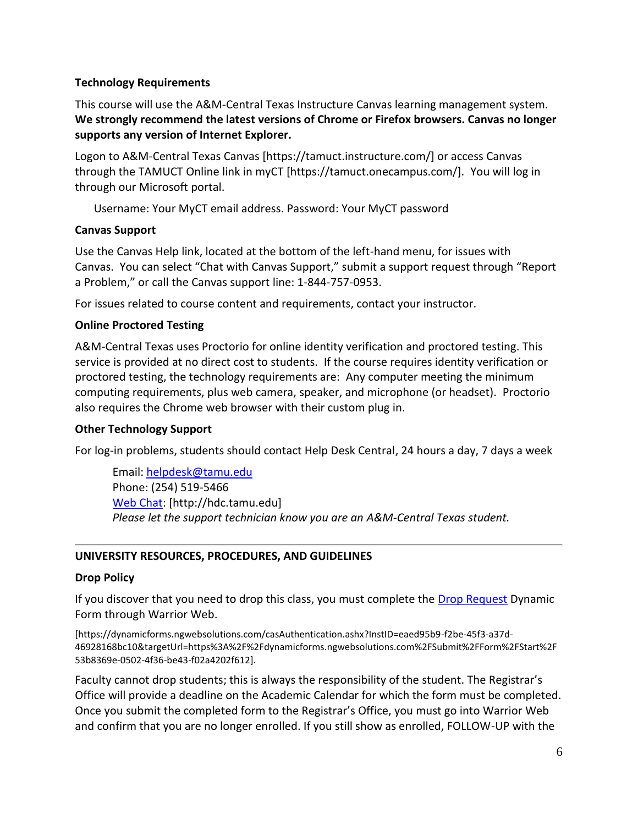### **Technology Requirements**

This course will use the A&M-Central Texas Instructure Canvas learning management system. **We strongly recommend the latest versions of Chrome or Firefox browsers. Canvas no longer supports any version of Internet Explorer.**

Logon to A&M-Central Texas Canvas [https://tamuct.instructure.com/] or access Canvas through the TAMUCT Online link in myCT [https://tamuct.onecampus.com/]. You will log in through our Microsoft portal.

Username: Your MyCT email address. Password: Your MyCT password

### **Canvas Support**

Use the Canvas Help link, located at the bottom of the left-hand menu, for issues with Canvas. You can select "Chat with Canvas Support," submit a support request through "Report a Problem," or call the Canvas support line: 1-844-757-0953.

For issues related to course content and requirements, contact your instructor.

### **Online Proctored Testing**

A&M-Central Texas uses Proctorio for online identity verification and proctored testing. This service is provided at no direct cost to students. If the course requires identity verification or proctored testing, the technology requirements are: Any computer meeting the minimum computing requirements, plus web camera, speaker, and microphone (or headset). Proctorio also requires the Chrome web browser with their custom plug in.

### **Other Technology Support**

For log-in problems, students should contact Help Desk Central, 24 hours a day, 7 days a week

Email: [helpdesk@tamu.edu](mailto:helpdesk@tamu.edu) Phone: (254) 519-5466 [Web Chat:](http://hdc.tamu.edu/) [http://hdc.tamu.edu] *Please let the support technician know you are an A&M-Central Texas student.*

### **UNIVERSITY RESOURCES, PROCEDURES, AND GUIDELINES**

#### **Drop Policy**

If you discover that you need to drop this class, you must complete the [Drop Request](https://dynamicforms.ngwebsolutions.com/casAuthentication.ashx?InstID=eaed95b9-f2be-45f3-a37d-46928168bc10&targetUrl=https%3A%2F%2Fdynamicforms.ngwebsolutions.com%2FSubmit%2FForm%2FStart%2F53b8369e-0502-4f36-be43-f02a4202f612) Dynamic Form through Warrior Web.

[https://dynamicforms.ngwebsolutions.com/casAuthentication.ashx?InstID=eaed95b9-f2be-45f3-a37d-46928168bc10&targetUrl=https%3A%2F%2Fdynamicforms.ngwebsolutions.com%2FSubmit%2FForm%2FStart%2F 53b8369e-0502-4f36-be43-f02a4202f612].

Faculty cannot drop students; this is always the responsibility of the student. The Registrar's Office will provide a deadline on the Academic Calendar for which the form must be completed. Once you submit the completed form to the Registrar's Office, you must go into Warrior Web and confirm that you are no longer enrolled. If you still show as enrolled, FOLLOW-UP with the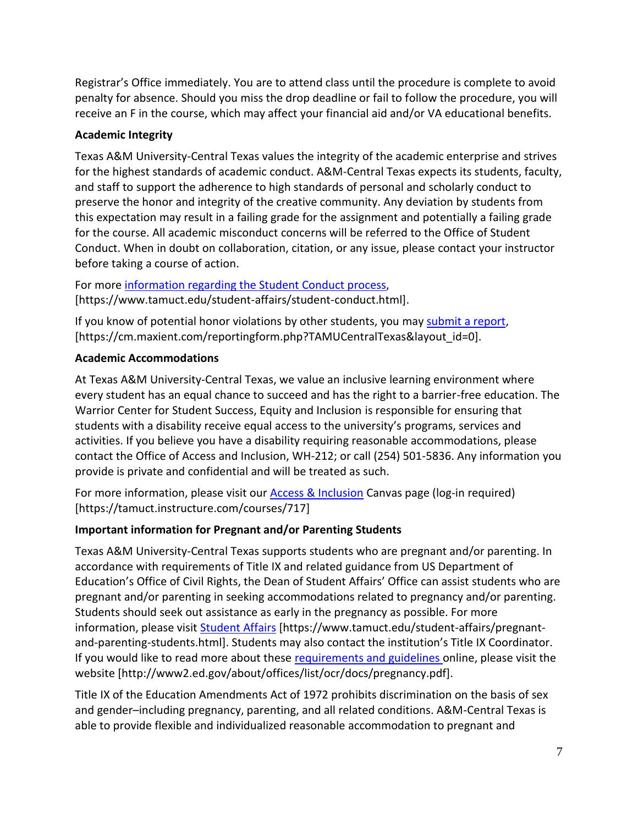Registrar's Office immediately. You are to attend class until the procedure is complete to avoid penalty for absence. Should you miss the drop deadline or fail to follow the procedure, you will receive an F in the course, which may affect your financial aid and/or VA educational benefits.

## **Academic Integrity**

Texas A&M University-Central Texas values the integrity of the academic enterprise and strives for the highest standards of academic conduct. A&M-Central Texas expects its students, faculty, and staff to support the adherence to high standards of personal and scholarly conduct to preserve the honor and integrity of the creative community. Any deviation by students from this expectation may result in a failing grade for the assignment and potentially a failing grade for the course. All academic misconduct concerns will be referred to the Office of Student Conduct. When in doubt on collaboration, citation, or any issue, please contact your instructor before taking a course of action.

For more [information](https://nam04.safelinks.protection.outlook.com/?url=https%3A%2F%2Fwww.tamuct.edu%2Fstudent-affairs%2Fstudent-conduct.html&data=04%7C01%7Clisa.bunkowski%40tamuct.edu%7Ccfb6e486f24745f53e1a08d910055cb2%7C9eed4e3000f744849ff193ad8005acec%7C0%7C0%7C637558437485252160%7CUnknown%7CTWFpbGZsb3d8eyJWIjoiMC4wLjAwMDAiLCJQIjoiV2luMzIiLCJBTiI6Ik1haWwiLCJXVCI6Mn0%3D%7C1000&sdata=yjftDEVHvLX%2FhM%2FcFU0B99krV1RgEWR%2BJ%2BhvtoR6TYk%3D&reserved=0) regarding the Student Conduct process, [https://www.tamuct.edu/student-affairs/student-conduct.html].

If you know of potential honor violations by other students, you may [submit](https://nam04.safelinks.protection.outlook.com/?url=https%3A%2F%2Fcm.maxient.com%2Freportingform.php%3FTAMUCentralTexas%26layout_id%3D0&data=04%7C01%7Clisa.bunkowski%40tamuct.edu%7Ccfb6e486f24745f53e1a08d910055cb2%7C9eed4e3000f744849ff193ad8005acec%7C0%7C0%7C637558437485262157%7CUnknown%7CTWFpbGZsb3d8eyJWIjoiMC4wLjAwMDAiLCJQIjoiV2luMzIiLCJBTiI6Ik1haWwiLCJXVCI6Mn0%3D%7C1000&sdata=CXGkOa6uPDPX1IMZ87z3aZDq2n91xfHKu4MMS43Ejjk%3D&reserved=0) a report, [https://cm.maxient.com/reportingform.php?TAMUCentralTexas&layout\_id=0].

## **Academic Accommodations**

At Texas A&M University-Central Texas, we value an inclusive learning environment where every student has an equal chance to succeed and has the right to a barrier-free education. The Warrior Center for Student Success, Equity and Inclusion is responsible for ensuring that students with a disability receive equal access to the university's programs, services and activities. If you believe you have a disability requiring reasonable accommodations, please contact the Office of Access and Inclusion, WH-212; or call (254) 501-5836. Any information you provide is private and confidential and will be treated as such.

For more information, please visit our **Access & Inclusion** Canvas page (log-in required) [https://tamuct.instructure.com/courses/717]

## **Important information for Pregnant and/or Parenting Students**

Texas A&M University-Central Texas supports students who are pregnant and/or parenting. In accordance with requirements of Title IX and related guidance from US Department of Education's Office of Civil Rights, the Dean of Student Affairs' Office can assist students who are pregnant and/or parenting in seeking accommodations related to pregnancy and/or parenting. Students should seek out assistance as early in the pregnancy as possible. For more information, please visit [Student Affairs](https://www.tamuct.edu/student-affairs/pregnant-and-parenting-students.html) [https://www.tamuct.edu/student-affairs/pregnantand-parenting-students.html]. Students may also contact the institution's Title IX Coordinator. If you would like to read more about these [requirements and guidelines](http://www2.ed.gov/about/offices/list/ocr/docs/pregnancy.pdf) online, please visit the website [http://www2.ed.gov/about/offices/list/ocr/docs/pregnancy.pdf].

Title IX of the Education Amendments Act of 1972 prohibits discrimination on the basis of sex and gender–including pregnancy, parenting, and all related conditions. A&M-Central Texas is able to provide flexible and individualized reasonable accommodation to pregnant and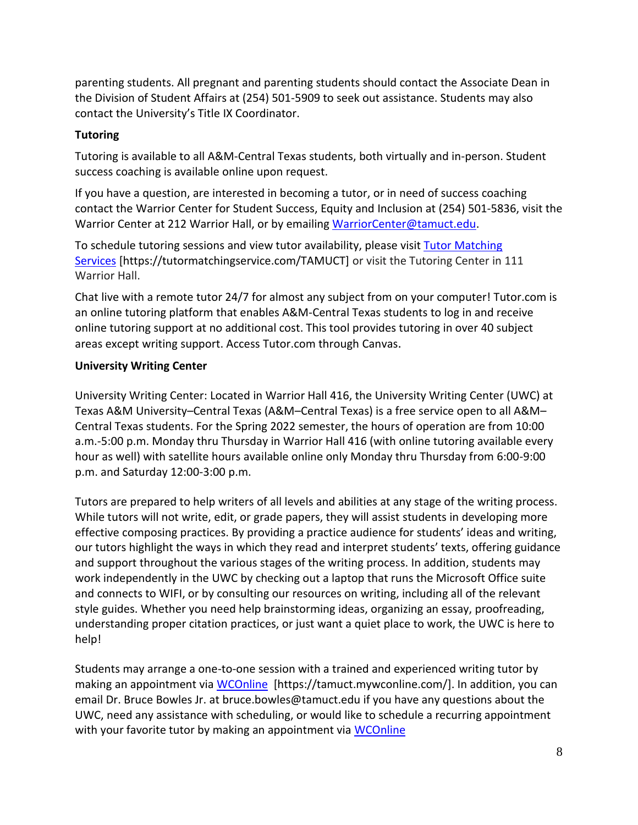parenting students. All pregnant and parenting students should contact the Associate Dean in the Division of Student Affairs at (254) 501-5909 to seek out assistance. Students may also contact the University's Title IX Coordinator.

## **Tutoring**

Tutoring is available to all A&M-Central Texas students, both virtually and in-person. Student success coaching is available online upon request.

If you have a question, are interested in becoming a tutor, or in need of success coaching contact the Warrior Center for Student Success, Equity and Inclusion at (254) 501-5836, visit the Warrior Center at 212 Warrior Hall, or by emailing [WarriorCenter@tamuct.edu.](mailto:WarriorCenter@tamuct.edu)

To schedule tutoring sessions and view tutor availability, please visit Tutor [Matching](https://tutormatchingservice.com/TAMUCT) [Services](https://tutormatchingservice.com/TAMUCT) [https://tutormatchingservice.com/TAMUCT] or visit the Tutoring Center in 111 Warrior Hall.

Chat live with a remote tutor 24/7 for almost any subject from on your computer! Tutor.com is an online tutoring platform that enables A&M-Central Texas students to log in and receive online tutoring support at no additional cost. This tool provides tutoring in over 40 subject areas except writing support. Access Tutor.com through Canvas.

## **University Writing Center**

University Writing Center: Located in Warrior Hall 416, the University Writing Center (UWC) at Texas A&M University–Central Texas (A&M–Central Texas) is a free service open to all A&M– Central Texas students. For the Spring 2022 semester, the hours of operation are from 10:00 a.m.-5:00 p.m. Monday thru Thursday in Warrior Hall 416 (with online tutoring available every hour as well) with satellite hours available online only Monday thru Thursday from 6:00-9:00 p.m. and Saturday 12:00-3:00 p.m.

Tutors are prepared to help writers of all levels and abilities at any stage of the writing process. While tutors will not write, edit, or grade papers, they will assist students in developing more effective composing practices. By providing a practice audience for students' ideas and writing, our tutors highlight the ways in which they read and interpret students' texts, offering guidance and support throughout the various stages of the writing process. In addition, students may work independently in the UWC by checking out a laptop that runs the Microsoft Office suite and connects to WIFI, or by consulting our resources on writing, including all of the relevant style guides. Whether you need help brainstorming ideas, organizing an essay, proofreading, understanding proper citation practices, or just want a quiet place to work, the UWC is here to help!

Students may arrange a one-to-one session with a trained and experienced writing tutor by making an appointment via [WCOnline](https://tamuct.mywconline.com/) [https://tamuct.mywconline.com/]. In addition, you can email Dr. Bruce Bowles Jr. at bruce.bowles@tamuct.edu if you have any questions about the UWC, need any assistance with scheduling, or would like to schedule a recurring appointment with your favorite tutor by making an appointment via [WCOnline](https://tamuct.mywconline.com/)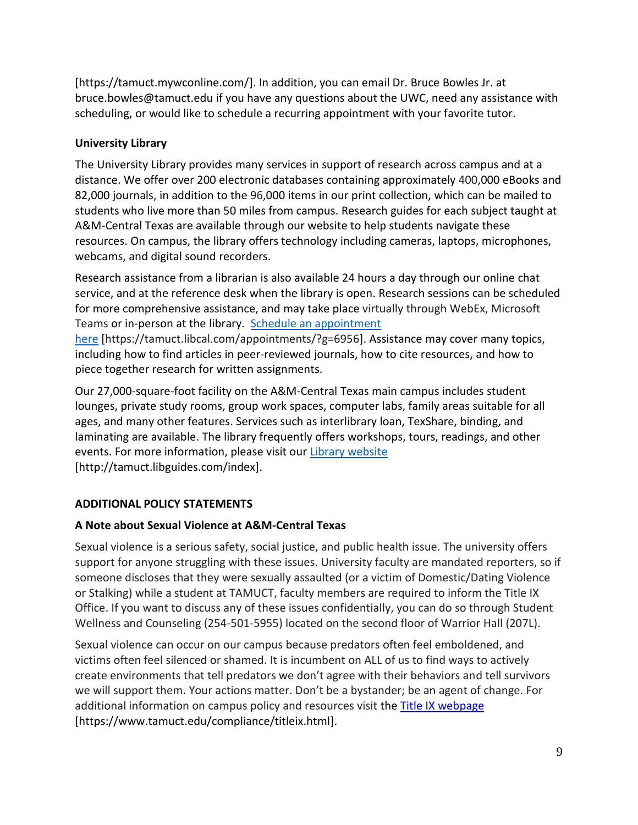[https://tamuct.mywconline.com/]. In addition, you can email Dr. Bruce Bowles Jr. at bruce.bowles@tamuct.edu if you have any questions about the UWC, need any assistance with scheduling, or would like to schedule a recurring appointment with your favorite tutor.

## **University Library**

The University Library provides many services in support of research across campus and at a distance. We offer over 200 electronic databases containing approximately 400,000 eBooks and 82,000 journals, in addition to the 96,000 items in our print collection, which can be mailed to students who live more than 50 miles from campus. Research guides for each subject taught at A&M-Central Texas are available through our website to help students navigate these resources. On campus, the library offers technology including cameras, laptops, microphones, webcams, and digital sound recorders.

Research assistance from a librarian is also available 24 hours a day through our online chat service, and at the reference desk when the library is open. Research sessions can be scheduled for more comprehensive assistance, and may take place virtually through WebEx, Microsoft Teams or in-person at the library. Schedule an [appointment](https://nam04.safelinks.protection.outlook.com/?url=https%3A%2F%2Ftamuct.libcal.com%2Fappointments%2F%3Fg%3D6956&data=04%7C01%7Clisa.bunkowski%40tamuct.edu%7Cde2c07d9f5804f09518008d9ab7ba6ff%7C9eed4e3000f744849ff193ad8005acec%7C0%7C0%7C637729369835011558%7CUnknown%7CTWFpbGZsb3d8eyJWIjoiMC4wLjAwMDAiLCJQIjoiV2luMzIiLCJBTiI6Ik1haWwiLCJXVCI6Mn0%3D%7C3000&sdata=KhtjgRSAw9aq%2FoBsB6wyu8b7PSuGN5EGPypzr3Ty2No%3D&reserved=0)

[here](https://nam04.safelinks.protection.outlook.com/?url=https%3A%2F%2Ftamuct.libcal.com%2Fappointments%2F%3Fg%3D6956&data=04%7C01%7Clisa.bunkowski%40tamuct.edu%7Cde2c07d9f5804f09518008d9ab7ba6ff%7C9eed4e3000f744849ff193ad8005acec%7C0%7C0%7C637729369835011558%7CUnknown%7CTWFpbGZsb3d8eyJWIjoiMC4wLjAwMDAiLCJQIjoiV2luMzIiLCJBTiI6Ik1haWwiLCJXVCI6Mn0%3D%7C3000&sdata=KhtjgRSAw9aq%2FoBsB6wyu8b7PSuGN5EGPypzr3Ty2No%3D&reserved=0) [https://tamuct.libcal.com/appointments/?g=6956]. Assistance may cover many topics, including how to find articles in peer-reviewed journals, how to cite resources, and how to piece together research for written assignments.

Our 27,000-square-foot facility on the A&M-Central Texas main campus includes student lounges, private study rooms, group work spaces, computer labs, family areas suitable for all ages, and many other features. Services such as interlibrary loan, TexShare, binding, and laminating are available. The library frequently offers workshops, tours, readings, and other events. For more information, please visit our Library [website](https://nam04.safelinks.protection.outlook.com/?url=https%3A%2F%2Ftamuct.libguides.com%2Findex&data=04%7C01%7Clisa.bunkowski%40tamuct.edu%7C7d8489e8839a4915335f08d916f067f2%7C9eed4e3000f744849ff193ad8005acec%7C0%7C0%7C637566044056484222%7CUnknown%7CTWFpbGZsb3d8eyJWIjoiMC4wLjAwMDAiLCJQIjoiV2luMzIiLCJBTiI6Ik1haWwiLCJXVCI6Mn0%3D%7C1000&sdata=2R755V6rcIyedGrd4Os5rkgn1PvhHKU3kUV1vBKiHFo%3D&reserved=0) [http://tamuct.libguides.com/index].

## **ADDITIONAL POLICY STATEMENTS**

## **A Note about Sexual Violence at A&M-Central Texas**

Sexual violence is a serious safety, social justice, and public health issue. The university offers support for anyone struggling with these issues. University faculty are mandated reporters, so if someone discloses that they were sexually assaulted (or a victim of Domestic/Dating Violence or Stalking) while a student at TAMUCT, faculty members are required to inform the Title IX Office. If you want to discuss any of these issues confidentially, you can do so through Student Wellness and Counseling (254-501-5955) located on the second floor of Warrior Hall (207L).

Sexual violence can occur on our campus because predators often feel emboldened, and victims often feel silenced or shamed. It is incumbent on ALL of us to find ways to actively create environments that tell predators we don't agree with their behaviors and tell survivors we will support them. Your actions matter. Don't be a bystander; be an agent of change. For additional information on campus policy and resources visit the [Title IX webpage](https://www.tamuct.edu/compliance/titleix.html) [\[https://www.tamuct.edu/compliance/titleix.html\]](https://www.tamuct.edu/compliance/titleix.html).